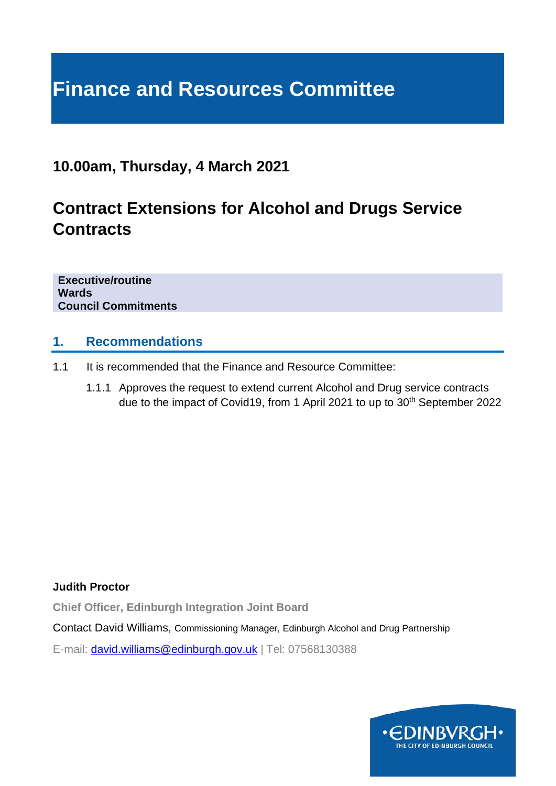# **Finance and Resources Committee**

### **10.00am, Thursday, 4 March 2021**

# **Contract Extensions for Alcohol and Drugs Service Contracts**

**Executive/routine Wards Council Commitments**

#### **1. Recommendations**

- 1.1 It is recommended that the Finance and Resource Committee:
	- 1.1.1 Approves the request to extend current Alcohol and Drug service contracts due to the impact of Covid19, from 1 April 2021 to up to 30<sup>th</sup> September 2022

**Judith Proctor** 

**Chief Officer, Edinburgh Integration Joint Board**

Contact David Williams, Commissioning Manager, Edinburgh Alcohol and Drug Partnership

E-mail: [david.williams@edinburgh.gov.uk](mailto:david.williams@edinburgh.gov.uk) | Tel: 07568130388

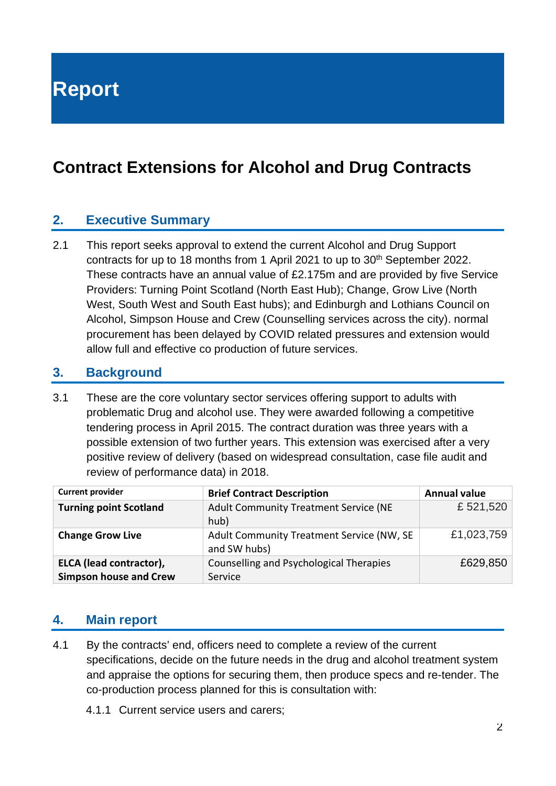**Report**

# **Contract Extensions for Alcohol and Drug Contracts**

#### **2. Executive Summary**

2.1 This report seeks approval to extend the current Alcohol and Drug Support contracts for up to 18 months from 1 April 2021 to up to 30<sup>th</sup> September 2022. These contracts have an annual value of £2.175m and are provided by five Service Providers: Turning Point Scotland (North East Hub); Change, Grow Live (North West, South West and South East hubs); and Edinburgh and Lothians Council on Alcohol, Simpson House and Crew (Counselling services across the city). normal procurement has been delayed by COVID related pressures and extension would allow full and effective co production of future services.

#### **3. Background**

3.1 These are the core voluntary sector services offering support to adults with problematic Drug and alcohol use. They were awarded following a competitive tendering process in April 2015. The contract duration was three years with a possible extension of two further years. This extension was exercised after a very positive review of delivery (based on widespread consultation, case file audit and review of performance data) in 2018.

| <b>Current provider</b>                                  | <b>Brief Contract Description</b>                         | <b>Annual value</b> |
|----------------------------------------------------------|-----------------------------------------------------------|---------------------|
| <b>Turning point Scotland</b>                            | Adult Community Treatment Service (NE<br>hub)             | £521,520            |
| <b>Change Grow Live</b>                                  | Adult Community Treatment Service (NW, SE<br>and SW hubs) | £1,023,759          |
| ELCA (lead contractor),<br><b>Simpson house and Crew</b> | Counselling and Psychological Therapies<br>Service        | £629,850            |

#### **4. Main report**

- 4.1 By the contracts' end, officers need to complete a review of the current specifications, decide on the future needs in the drug and alcohol treatment system and appraise the options for securing them, then produce specs and re-tender. The co-production process planned for this is consultation with:
	- 4.1.1 Current service users and carers;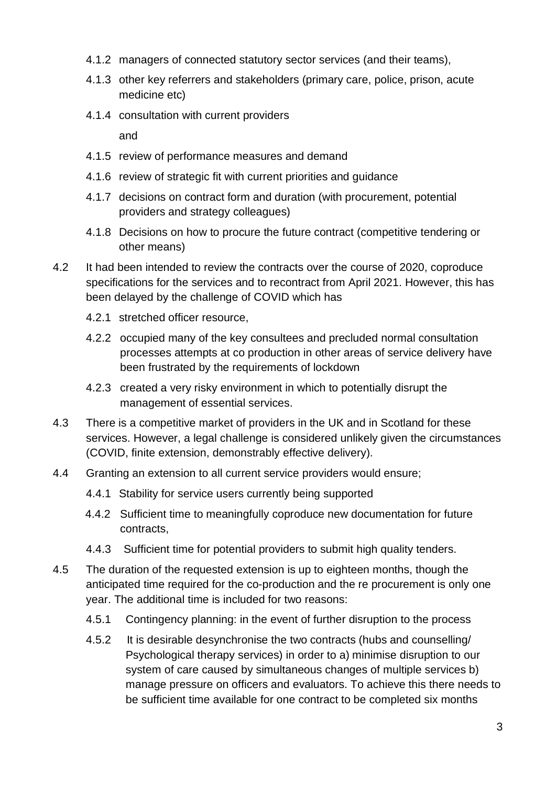- 4.1.2 managers of connected statutory sector services (and their teams),
- 4.1.3 other key referrers and stakeholders (primary care, police, prison, acute medicine etc)
- 4.1.4 consultation with current providers

and

- 4.1.5 review of performance measures and demand
- 4.1.6 review of strategic fit with current priorities and guidance
- 4.1.7 decisions on contract form and duration (with procurement, potential providers and strategy colleagues)
- 4.1.8 Decisions on how to procure the future contract (competitive tendering or other means)
- 4.2 It had been intended to review the contracts over the course of 2020, coproduce specifications for the services and to recontract from April 2021. However, this has been delayed by the challenge of COVID which has
	- 4.2.1 stretched officer resource,
	- 4.2.2 occupied many of the key consultees and precluded normal consultation processes attempts at co production in other areas of service delivery have been frustrated by the requirements of lockdown
	- 4.2.3 created a very risky environment in which to potentially disrupt the management of essential services.
- 4.3 There is a competitive market of providers in the UK and in Scotland for these services. However, a legal challenge is considered unlikely given the circumstances (COVID, finite extension, demonstrably effective delivery).
- 4.4 Granting an extension to all current service providers would ensure;
	- 4.4.1 Stability for service users currently being supported
	- 4.4.2 Sufficient time to meaningfully coproduce new documentation for future contracts,
	- 4.4.3 Sufficient time for potential providers to submit high quality tenders.
- 4.5 The duration of the requested extension is up to eighteen months, though the anticipated time required for the co-production and the re procurement is only one year. The additional time is included for two reasons:
	- 4.5.1 Contingency planning: in the event of further disruption to the process
	- 4.5.2 It is desirable desynchronise the two contracts (hubs and counselling/ Psychological therapy services) in order to a) minimise disruption to our system of care caused by simultaneous changes of multiple services b) manage pressure on officers and evaluators. To achieve this there needs to be sufficient time available for one contract to be completed six months